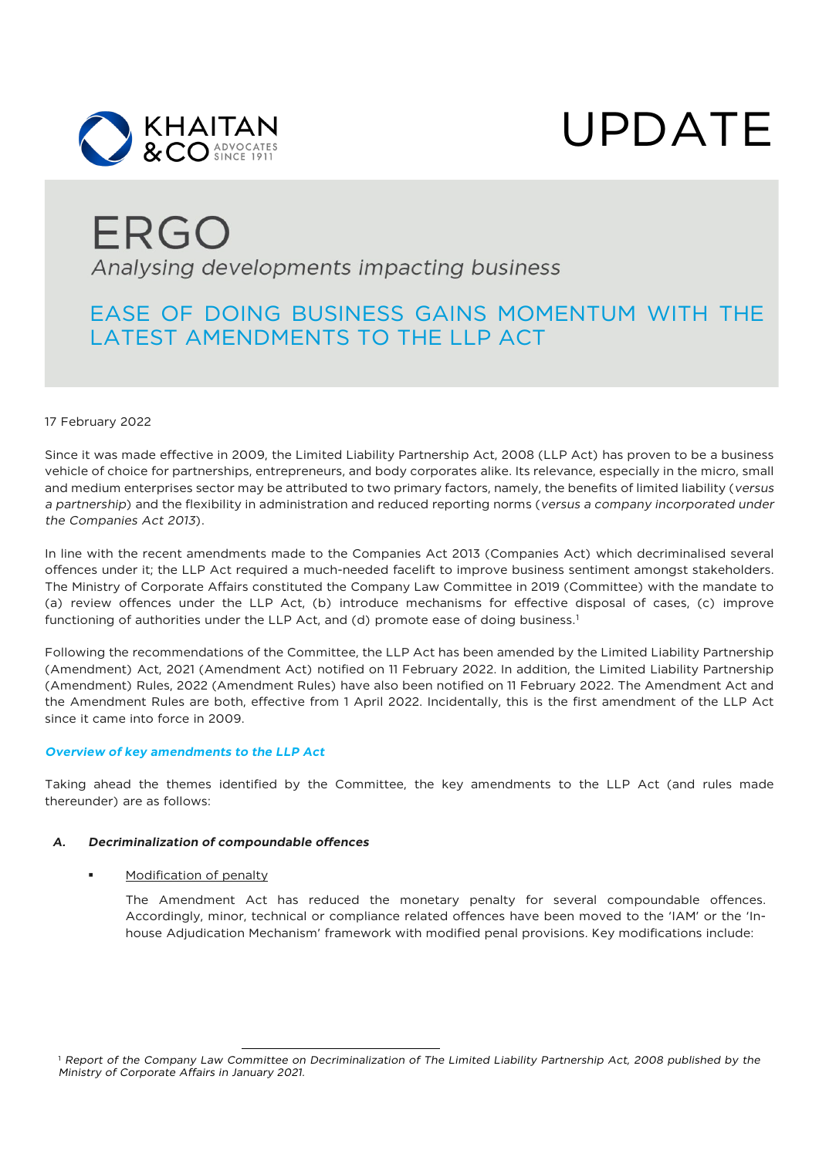



### ERGO Analysing developments impacting business

### EASE OF DOING BUSINESS GAINS MOMENTUM WITH THE LATEST AMENDMENTS TO THE LLP ACT

#### 17 February 2022

Since it was made effective in 2009, the Limited Liability Partnership Act, 2008 (LLP Act) has proven to be a business vehicle of choice for partnerships, entrepreneurs, and body corporates alike. Its relevance, especially in the micro, small and medium enterprises sector may be attributed to two primary factors, namely, the benefits of limited liability (*versus a partnership*) and the flexibility in administration and reduced reporting norms (*versus a company incorporated under the Companies Act 2013*).

In line with the recent amendments made to the Companies Act 2013 (Companies Act) which decriminalised several offences under it; the LLP Act required a much-needed facelift to improve business sentiment amongst stakeholders. The Ministry of Corporate Affairs constituted the Company Law Committee in 2019 (Committee) with the mandate to (a) review offences under the LLP Act, (b) introduce mechanisms for effective disposal of cases, (c) improve functioning of authorities under the LLP Act, and (d) promote ease of doing business.<sup>[1](#page-0-0)</sup>

Following the recommendations of the Committee, the LLP Act has been amended by the Limited Liability Partnership (Amendment) Act, 2021 (Amendment Act) notified on 11 February 2022. In addition, the Limited Liability Partnership (Amendment) Rules, 2022 (Amendment Rules) have also been notified on 11 February 2022. The Amendment Act and the Amendment Rules are both, effective from 1 April 2022. Incidentally, this is the first amendment of the LLP Act since it came into force in 2009.

#### *Overview of key amendments to the LLP Act*

Taking ahead the themes identified by the Committee, the key amendments to the LLP Act (and rules made thereunder) are as follows:

#### *A. Decriminalization of compoundable offences*

#### Modification of penalty

<span id="page-0-0"></span>The Amendment Act has reduced the monetary penalty for several compoundable offences. Accordingly, minor, technical or compliance related offences have been moved to the 'IAM' or the 'Inhouse Adjudication Mechanism' framework with modified penal provisions. Key modifications include: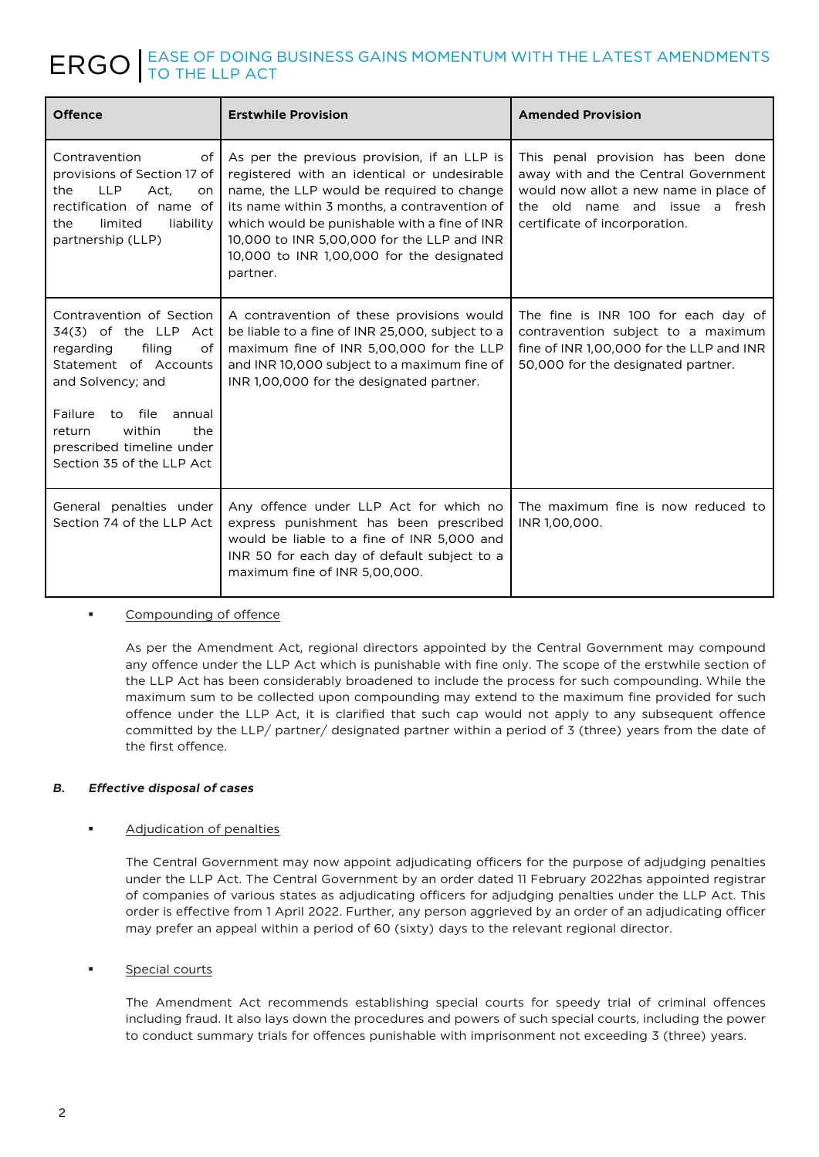# ERGO F DOING BUSINESS GAINS MOMENTUM WITH THE LATEST AMENDMENTS

| <b>Offence</b>                                                                                                                                                                                                                                   | <b>Erstwhile Provision</b>                                                                                                                                                                                                                                                                                                                     | <b>Amended Provision</b>                                                                                                                                                                   |
|--------------------------------------------------------------------------------------------------------------------------------------------------------------------------------------------------------------------------------------------------|------------------------------------------------------------------------------------------------------------------------------------------------------------------------------------------------------------------------------------------------------------------------------------------------------------------------------------------------|--------------------------------------------------------------------------------------------------------------------------------------------------------------------------------------------|
| Contravention<br>of<br>provisions of Section 17 of<br><b>LLP</b><br>Act.<br>the<br><sub>on</sub><br>rectification of name of<br>limited<br>liability<br>the<br>partnership (LLP)                                                                 | As per the previous provision, if an LLP is<br>registered with an identical or undesirable<br>name, the LLP would be required to change<br>its name within 3 months, a contravention of<br>which would be punishable with a fine of INR<br>10,000 to INR 5,00,000 for the LLP and INR<br>10,000 to INR 1,00,000 for the designated<br>partner. | This penal provision has been done<br>away with and the Central Government<br>would now allot a new name in place of<br>the old name and issue<br>a fresh<br>certificate of incorporation. |
| Contravention of Section<br>34(3) of the LLP Act<br>filing<br>regarding<br>οf<br>Statement of Accounts<br>and Solvency; and<br>to file<br>Failure<br>annual<br>within<br>return<br>the<br>prescribed timeline under<br>Section 35 of the LLP Act | A contravention of these provisions would<br>be liable to a fine of INR 25,000, subject to a<br>maximum fine of INR 5,00,000 for the LLP<br>and INR 10,000 subject to a maximum fine of<br>INR 1,00,000 for the designated partner.                                                                                                            | The fine is INR 100 for each day of<br>contravention subject to a maximum<br>fine of INR 1,00,000 for the LLP and INR<br>50,000 for the designated partner.                                |
| General penalties under<br>Section 74 of the LLP Act                                                                                                                                                                                             | Any offence under LLP Act for which no<br>express punishment has been prescribed<br>would be liable to a fine of INR 5,000 and<br>INR 50 for each day of default subject to a<br>maximum fine of INR 5,00,000.                                                                                                                                 | The maximum fine is now reduced to<br>INR 1,00,000.                                                                                                                                        |

#### Compounding of offence

As per the Amendment Act, regional directors appointed by the Central Government may compound any offence under the LLP Act which is punishable with fine only. The scope of the erstwhile section of the LLP Act has been considerably broadened to include the process for such compounding. While the maximum sum to be collected upon compounding may extend to the maximum fine provided for such offence under the LLP Act, it is clarified that such cap would not apply to any subsequent offence committed by the LLP/ partner/ designated partner within a period of 3 (three) years from the date of the first offence.

#### *B. Effective disposal of cases*

#### Adjudication of penalties

The Central Government may now appoint adjudicating officers for the purpose of adjudging penalties under the LLP Act. The Central Government by an order dated 11 February 2022has appointed registrar of companies of various states as adjudicating officers for adjudging penalties under the LLP Act. This order is effective from 1 April 2022. Further, any person aggrieved by an order of an adjudicating officer may prefer an appeal within a period of 60 (sixty) days to the relevant regional director.

#### Special courts

The Amendment Act recommends establishing special courts for speedy trial of criminal offences including fraud. It also lays down the procedures and powers of such special courts, including the power to conduct summary trials for offences punishable with imprisonment not exceeding 3 (three) years.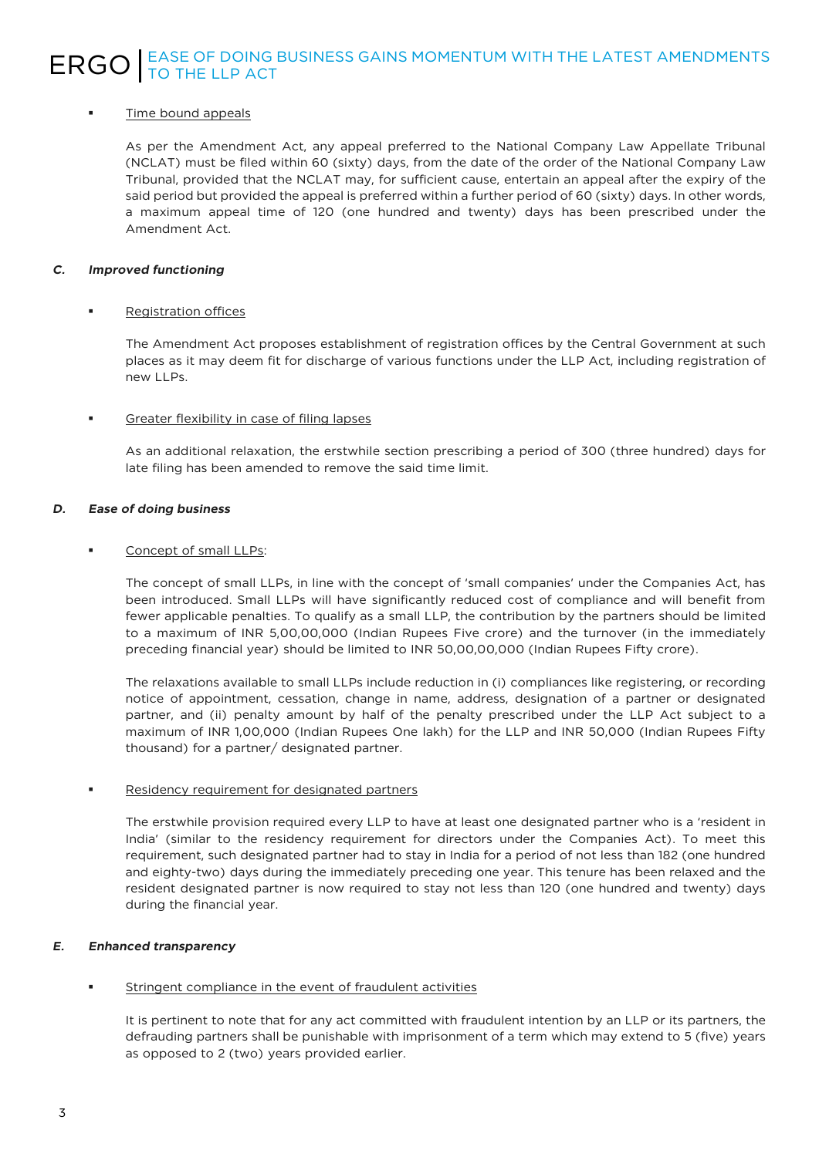## ERGO F DOING BUSINESS GAINS MOMENTUM WITH THE LATEST AMENDMENTS

#### Time bound appeals

As per the Amendment Act, any appeal preferred to the National Company Law Appellate Tribunal (NCLAT) must be filed within 60 (sixty) days, from the date of the order of the National Company Law Tribunal, provided that the NCLAT may, for sufficient cause, entertain an appeal after the expiry of the said period but provided the appeal is preferred within a further period of 60 (sixty) days. In other words, a maximum appeal time of 120 (one hundred and twenty) days has been prescribed under the Amendment Act.

#### *C. Improved functioning*

#### Registration offices

The Amendment Act proposes establishment of registration offices by the Central Government at such places as it may deem fit for discharge of various functions under the LLP Act, including registration of new LLPs.

#### Greater flexibility in case of filing lapses

As an additional relaxation, the erstwhile section prescribing a period of 300 (three hundred) days for late filing has been amended to remove the said time limit.

#### *D. Ease of doing business*

#### Concept of small LLPs:

The concept of small LLPs, in line with the concept of 'small companies' under the Companies Act, has been introduced. Small LLPs will have significantly reduced cost of compliance and will benefit from fewer applicable penalties. To qualify as a small LLP, the contribution by the partners should be limited to a maximum of INR 5,00,00,000 (Indian Rupees Five crore) and the turnover (in the immediately preceding financial year) should be limited to INR 50,00,00,000 (Indian Rupees Fifty crore).

The relaxations available to small LLPs include reduction in (i) compliances like registering, or recording notice of appointment, cessation, change in name, address, designation of a partner or designated partner, and (ii) penalty amount by half of the penalty prescribed under the LLP Act subject to a maximum of INR 1,00,000 (Indian Rupees One lakh) for the LLP and INR 50,000 (Indian Rupees Fifty thousand) for a partner/ designated partner.

#### Residency requirement for designated partners

The erstwhile provision required every LLP to have at least one designated partner who is a 'resident in India' (similar to the residency requirement for directors under the Companies Act). To meet this requirement, such designated partner had to stay in India for a period of not less than 182 (one hundred and eighty-two) days during the immediately preceding one year. This tenure has been relaxed and the resident designated partner is now required to stay not less than 120 (one hundred and twenty) days during the financial year.

#### *E. Enhanced transparency*

#### Stringent compliance in the event of fraudulent activities

It is pertinent to note that for any act committed with fraudulent intention by an LLP or its partners, the defrauding partners shall be punishable with imprisonment of a term which may extend to 5 (five) years as opposed to 2 (two) years provided earlier.